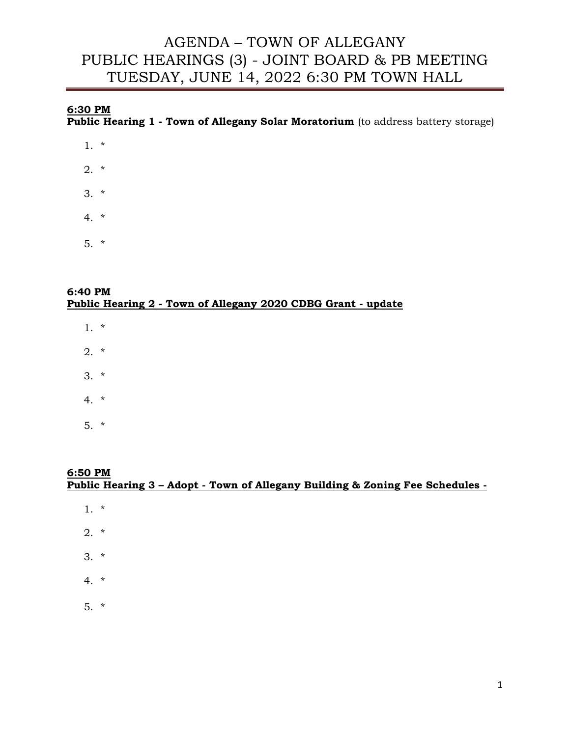# **6:30 PM**

**Public Hearing 1 - Town of Allegany Solar Moratorium** (to address battery storage)

- 1. \*
- 2. \*
- 3. \*
- 4. \*
- 5. \*

#### **6:40 PM Public Hearing 2 - Town of Allegany 2020 CDBG Grant - update**

- 1. \*
- $2. *$
- 3. \*
- 4. \*
- 5. \*

#### **6:50 PM Public Hearing 3 – Adopt - Town of Allegany Building & Zoning Fee Schedules -**

- 1. \*
- 2. \*
- 3. \*
- 4. \*
- 5. \*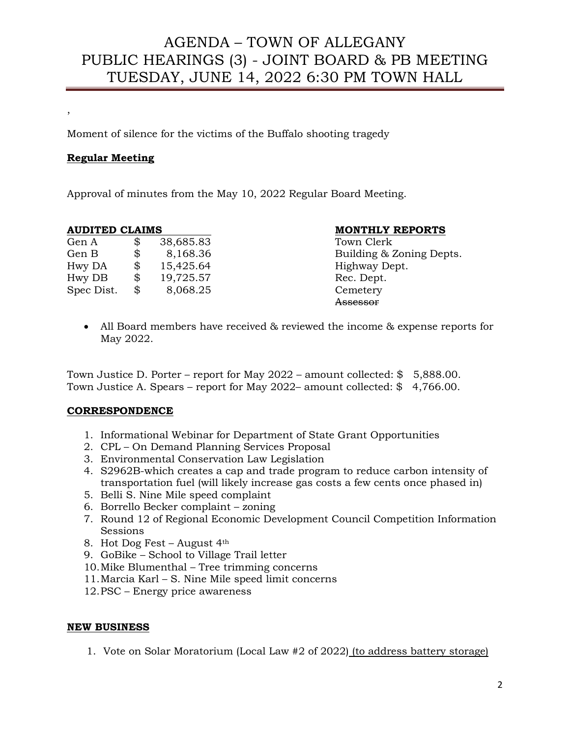Moment of silence for the victims of the Buffalo shooting tragedy

#### **Regular Meeting**

,

Approval of minutes from the May 10, 2022 Regular Board Meeting.

| Gen A      | \$<br>38,685.83 |
|------------|-----------------|
| Gen B      | \$<br>8,168.36  |
| Hwy DA     | \$<br>15,425.64 |
| Hwy DB     | \$<br>19,725.57 |
| Spec Dist. | \$<br>8,068.25  |

#### **AUDITED CLAIMS MONTHLY REPORTS**

Town Clerk Building & Zoning Depts. Highway Dept. Rec. Dept. Cemetery Assessor

• All Board members have received & reviewed the income & expense reports for May 2022.

Town Justice D. Porter – report for May 2022 – amount collected: \$ 5,888.00. Town Justice A. Spears – report for May 2022– amount collected: \$ 4,766.00.

#### **CORRESPONDENCE**

- 1. Informational Webinar for Department of State Grant Opportunities
- 2. CPL On Demand Planning Services Proposal
- 3. Environmental Conservation Law Legislation
- 4. S2962B-which creates a cap and trade program to reduce carbon intensity of transportation fuel (will likely increase gas costs a few cents once phased in)
- 5. Belli S. Nine Mile speed complaint
- 6. Borrello Becker complaint zoning
- 7. Round 12 of Regional Economic Development Council Competition Information Sessions
- 8. Hot Dog Fest August 4th
- 9. GoBike School to Village Trail letter
- 10.Mike Blumenthal Tree trimming concerns
- 11.Marcia Karl S. Nine Mile speed limit concerns
- 12.PSC Energy price awareness

#### **NEW BUSINESS**

1. Vote on Solar Moratorium (Local Law #2 of 2022) (to address battery storage)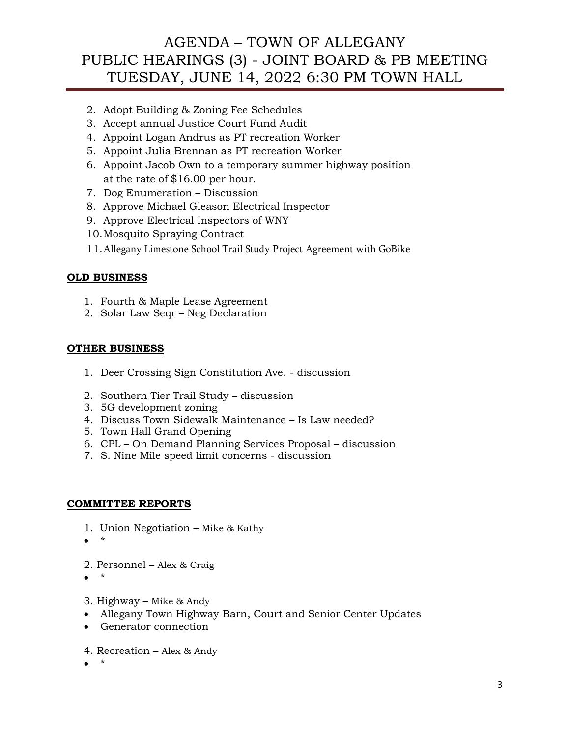- 2. Adopt Building & Zoning Fee Schedules
- 3. Accept annual Justice Court Fund Audit
- 4. Appoint Logan Andrus as PT recreation Worker
- 5. Appoint Julia Brennan as PT recreation Worker
- 6. Appoint Jacob Own to a temporary summer highway position at the rate of \$16.00 per hour.
- 7. Dog Enumeration Discussion
- 8. Approve Michael Gleason Electrical Inspector
- 9. Approve Electrical Inspectors of WNY
- 10.Mosquito Spraying Contract
- 11.Allegany Limestone School Trail Study Project Agreement with GoBike

### **OLD BUSINESS**

- 1. Fourth & Maple Lease Agreement
- 2. Solar Law Seqr Neg Declaration

#### **OTHER BUSINESS**

- 1. Deer Crossing Sign Constitution Ave. discussion
- 2. Southern Tier Trail Study discussion
- 3. 5G development zoning
- 4. Discuss Town Sidewalk Maintenance Is Law needed?
- 5. Town Hall Grand Opening
- 6. CPL On Demand Planning Services Proposal discussion
- 7. S. Nine Mile speed limit concerns discussion

#### **COMMITTEE REPORTS**

- 1. Union Negotiation Mike & Kathy
- \*
- 2. Personnel Alex & Craig
- \*
- 3. Highway Mike & Andy
- Allegany Town Highway Barn, Court and Senior Center Updates
- Generator connection
- 4. Recreation Alex & Andy
- \*